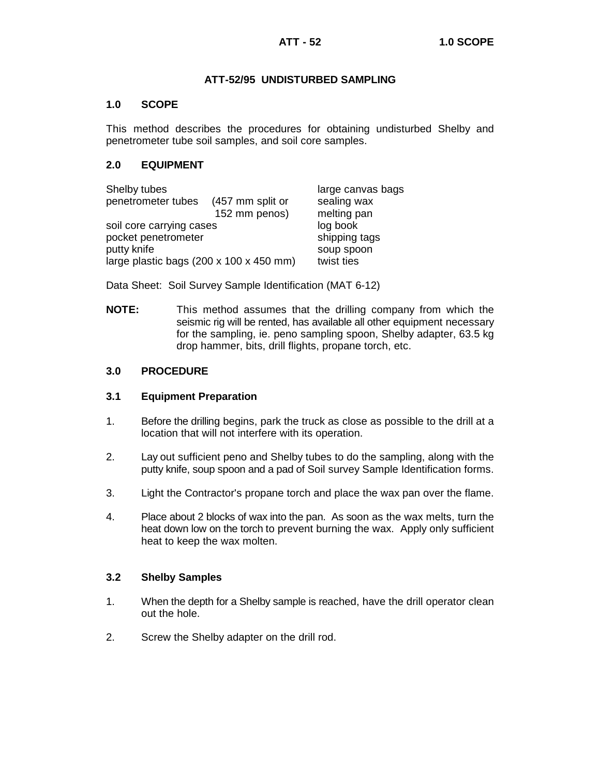## **ATT-52/95 UNDISTURBED SAMPLING**

## **1.0 SCOPE**

This method describes the procedures for obtaining undisturbed Shelby and penetrometer tube soil samples, and soil core samples.

## **2.0 EQUIPMENT**

| Shelby tubes                            |                  | large canvas bags |  |
|-----------------------------------------|------------------|-------------------|--|
| penetrometer tubes                      | (457 mm split or | sealing wax       |  |
|                                         | 152 mm penos)    | melting pan       |  |
| soil core carrying cases                | log book         |                   |  |
| pocket penetrometer                     | shipping tags    |                   |  |
| putty knife                             |                  | soup spoon        |  |
| large plastic bags (200 x 100 x 450 mm) | twist ties       |                   |  |

Data Sheet: Soil Survey Sample Identification (MAT 6-12)

**NOTE:** This method assumes that the drilling company from which the seismic rig will be rented, has available all other equipment necessary for the sampling, ie. peno sampling spoon, Shelby adapter, 63.5 kg drop hammer, bits, drill flights, propane torch, etc.

## **3.0 PROCEDURE**

## **3.1 Equipment Preparation**

- 1. Before the drilling begins, park the truck as close as possible to the drill at a location that will not interfere with its operation.
- 2. Lay out sufficient peno and Shelby tubes to do the sampling, along with the putty knife, soup spoon and a pad of Soil survey Sample Identification forms.
- 3. Light the Contractor's propane torch and place the wax pan over the flame.
- 4. Place about 2 blocks of wax into the pan. As soon as the wax melts, turn the heat down low on the torch to prevent burning the wax. Apply only sufficient heat to keep the wax molten.

## **3.2 Shelby Samples**

- 1. When the depth for a Shelby sample is reached, have the drill operator clean out the hole.
- 2. Screw the Shelby adapter on the drill rod.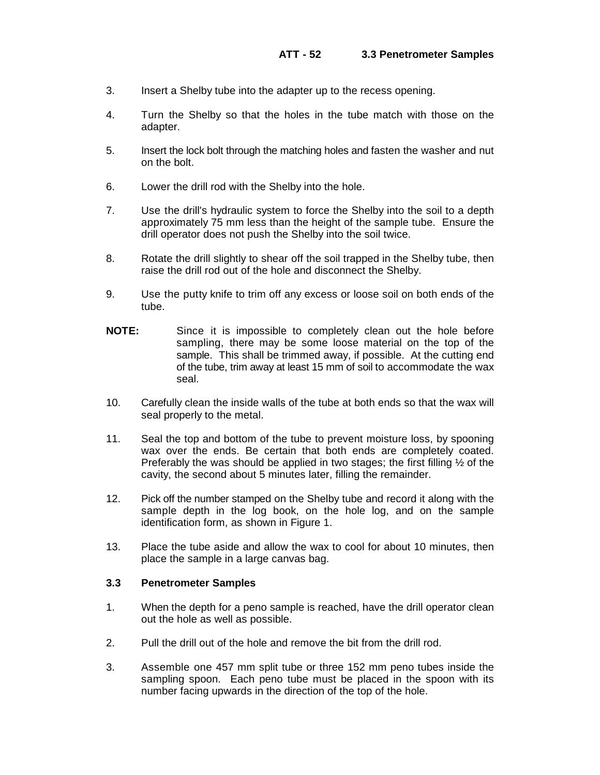- 3. Insert a Shelby tube into the adapter up to the recess opening.
- 4. Turn the Shelby so that the holes in the tube match with those on the adapter.
- 5. Insert the lock bolt through the matching holes and fasten the washer and nut on the bolt.
- 6. Lower the drill rod with the Shelby into the hole.
- 7. Use the drill's hydraulic system to force the Shelby into the soil to a depth approximately 75 mm less than the height of the sample tube. Ensure the drill operator does not push the Shelby into the soil twice.
- 8. Rotate the drill slightly to shear off the soil trapped in the Shelby tube, then raise the drill rod out of the hole and disconnect the Shelby.
- 9. Use the putty knife to trim off any excess or loose soil on both ends of the tube.
- **NOTE:** Since it is impossible to completely clean out the hole before sampling, there may be some loose material on the top of the sample. This shall be trimmed away, if possible. At the cutting end of the tube, trim away at least 15 mm of soil to accommodate the wax seal.
- 10. Carefully clean the inside walls of the tube at both ends so that the wax will seal properly to the metal.
- 11. Seal the top and bottom of the tube to prevent moisture loss, by spooning wax over the ends. Be certain that both ends are completely coated. Preferably the was should be applied in two stages; the first filling ½ of the cavity, the second about 5 minutes later, filling the remainder.
- 12. Pick off the number stamped on the Shelby tube and record it along with the sample depth in the log book, on the hole log, and on the sample identification form, as shown in Figure 1.
- 13. Place the tube aside and allow the wax to cool for about 10 minutes, then place the sample in a large canvas bag.

#### **3.3 Penetrometer Samples**

- 1. When the depth for a peno sample is reached, have the drill operator clean out the hole as well as possible.
- 2. Pull the drill out of the hole and remove the bit from the drill rod.
- 3. Assemble one 457 mm split tube or three 152 mm peno tubes inside the sampling spoon. Each peno tube must be placed in the spoon with its number facing upwards in the direction of the top of the hole.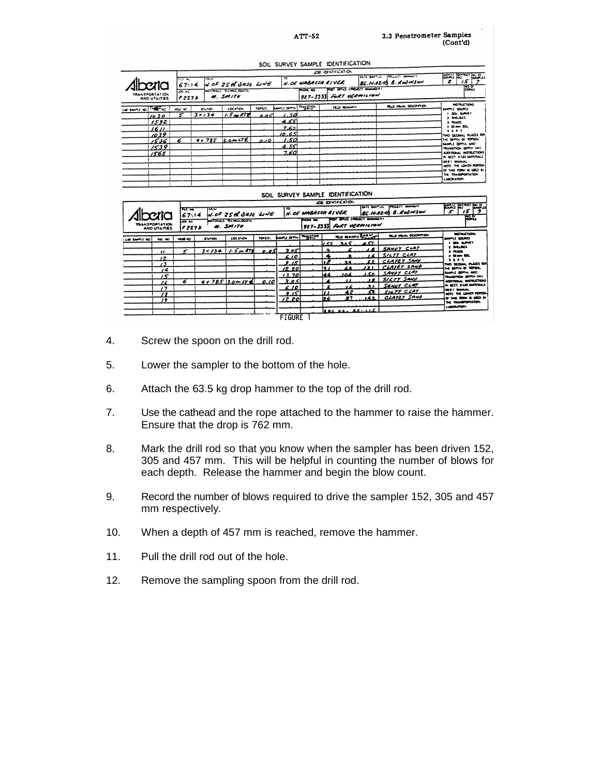3.3 Penetrometer Samples<br>(Cont'd)

|                                                      |                                                       |                        |                                                               |               |                                                             | JOB IDENTIFICATION                     |                             |                                                                                                  |                                                                                                                                                                                                                                                                                                   |
|------------------------------------------------------|-------------------------------------------------------|------------------------|---------------------------------------------------------------|---------------|-------------------------------------------------------------|----------------------------------------|-----------------------------|--------------------------------------------------------------------------------------------------|---------------------------------------------------------------------------------------------------------------------------------------------------------------------------------------------------------------------------------------------------------------------------------------------------|
| Alberia<br>TRANSPORTATION<br>AND UTILITIES           | <b>FUEL AC</b><br>67:14<br>$56 - 52$<br><i>e</i> 2273 | TRIAL:                 | $M.0F$ 25 th 3ASE LINE<br>MATERIALS TECHNOLOGISTS<br>M. SMITH |               | TC                                                          | N. OF WABASCA RIVER<br><b>INDIA</b> NO | $927 - 3333$ FORT VERMILION | PROACT MANAGER<br>LETE SAATLE<br>$86.10.02 - 03.8$ . Rod MSON<br>FOST OFFICE ( PROJECT MANAGER ) | <b>BOOK ROWS PLACE</b><br>15<br>z<br>Post.                                                                                                                                                                                                                                                        |
| LAE SAUTIE NO THEY NO                                | HOLF NC                                               | \$14100.               | <b>LOCATION</b>                                               | TOPSOI.       | <b>BANDLE DEPTH THANKING</b>                                |                                        | FELD REMARKS                | <b>RELD VISUAL DESCRIPTION</b>                                                                   | <b><i>RETRUCTIONS</i></b><br>SAMPLE SOURCE                                                                                                                                                                                                                                                        |
| 1030<br>1592<br>1611<br>1039<br>1536<br>1539<br>1568 | 6                                                     | $3 + 134$<br>$4 + 785$ | $1.5 - 172$<br>$3.0 - 472$                                    | 0.05<br>ا 10ھ | 1.50<br>351ء م<br>ادعہ 7<br>10.651<br>1.50<br>4.551<br>7.60 |                                        |                             |                                                                                                  | <b>1 SOL SURVEY</b><br>2 SHELBUS<br>3 PINOS<br>4 50 mm SOL<br><b>SSPT</b><br>TWO DECIMAL PLACES FOR<br>THE DEPTH OF TOPSOL<br>SAMPLE DEPTH. AND<br>TRANSITION DEFTH (m)<br>ADDITIONAL INSTRUCTIONS<br>IN SECT 3103 MATERIALS<br>MEET MANUAL<br>NOTE. THE LOWER FORTION<br>O' THIS FORM IS USED BY |
|                                                      |                                                       |                        |                                                               |               |                                                             |                                        |                             |                                                                                                  | THE TRANSPORTATION<br>LABORATORY                                                                                                                                                                                                                                                                  |

CON SUBVEY CAMBLE IDENTIFICATION

|                                                                                                  |                      |                                                  |         |                         |                                                                                                             |                                |                                                                    |       | JOB IDENTIFICATION                    |                              |                                |                                                |
|--------------------------------------------------------------------------------------------------|----------------------|--------------------------------------------------|---------|-------------------------|-------------------------------------------------------------------------------------------------------------|--------------------------------|--------------------------------------------------------------------|-------|---------------------------------------|------------------------------|--------------------------------|------------------------------------------------|
| <b>PEL NO</b><br><b>CALL</b><br><b>Dorica</b><br>67:14<br><b>SOF NO</b><br><b>TRANSPORTATION</b> |                      | $M.0F$ 25th BASE LINE<br>MATERIALS TECHNOLOGISTS |         | <b>TO</b>               | N. OF WABASCA RIVER<br>FOST OFFICE (PROJECT MANAGER)<br>$\overline{\phantom{a}}$<br>927-3333 FORT VERMILION |                                | <b>PROJECT BANNADIS</b><br>DATE BARTINE<br>86.10.02-03 B. Rod MSON |       | <b>1922 Blue Read</b><br>15<br>5<br>జ |                              |                                |                                                |
|                                                                                                  | <b>AND UTILITIES</b> | P 227 D                                          |         | M. SPIITH               |                                                                                                             |                                |                                                                    |       |                                       |                              |                                |                                                |
| LAC SAMPLE NO                                                                                    | <b>140 NO</b>        | <b>HOME NO</b>                                   | STATION | LOCATION                | 109101.                                                                                                     | <b>EMAIL DEAL LINES !!!!!!</b> |                                                                    |       |                                       | <b>FELD REMAINS DES WITH</b> | <b>RELD VISIAL DESCRIPTION</b> | <b>METALCTION</b><br><b>DRUGI IMAL</b>         |
|                                                                                                  |                      |                                                  |         |                         |                                                                                                             |                                |                                                                    |       | 152.305457                            |                              |                                | 1 BOX BURNEY                                   |
|                                                                                                  | $^{\prime\prime}$    |                                                  |         | $3 + 134$ 1.5 m RTE     | 0.051                                                                                                       | 2.05                           |                                                                    | э     |                                       |                              | 18 SANDY CLAY                  | <b>9 SHELBES</b><br><b>3 FOOS</b>              |
|                                                                                                  | $^{\prime}$          |                                                  |         |                         |                                                                                                             | 6.10                           |                                                                    |       |                                       |                              | $16$ SILTY CLAY                | A 50-M SEL                                     |
|                                                                                                  | $\sqrt{3}$           |                                                  |         |                         |                                                                                                             | 9.15                           |                                                                    |       | 24                                    |                              | 62 CLAYEY SAND                 | <br>TWO DECRAN: PLACES RDR                     |
|                                                                                                  | 14                   |                                                  |         |                         |                                                                                                             | (2.20)                         |                                                                    | 12 I  | LA                                    |                              | 121 CLATEY SAMP                | <b>IN DEPTH OF TOPSOL</b>                      |
|                                                                                                  | 15                   |                                                  |         |                         |                                                                                                             | 13.70                          |                                                                    | 144   | 106                                   |                              | 150 SAMPY CLAY                 | SAMPLE DEPTH, AND<br>TRANSFIEN DEPTH (m)       |
|                                                                                                  | 76                   | 6                                                |         | $4 + 785$ 3.0 $M7 \neq$ | 0.10                                                                                                        | 3.05                           |                                                                    |       |                                       |                              | 18   SILTY SAND                | ADDITIONAL INSTRUCTIONS                        |
|                                                                                                  | $^{\prime}$          |                                                  |         |                         |                                                                                                             | 6.10                           |                                                                    |       |                                       | 37                           | SANDY CLAY                     | IN SECT. B LOS BASTINAIS<br><b>BEST MARLAL</b> |
|                                                                                                  | 78                   |                                                  |         |                         |                                                                                                             | ڪيو                            |                                                                    |       | 42                                    | 39. I                        | SILTY CLAY<br>CLAYEY SAND      | NOT: THE LOWER FORTEN-                         |
|                                                                                                  | 19                   |                                                  |         |                         |                                                                                                             | 12.20                          |                                                                    | 12.6. | 87                                    | .142.1                       |                                | OF THIS ROAD IS URED BY<br>THE TRANSPORTATION. |
|                                                                                                  |                      |                                                  |         |                         |                                                                                                             |                                |                                                                    |       |                                       |                              |                                | LABORATORY                                     |
|                                                                                                  |                      |                                                  |         |                         |                                                                                                             | FIGURE                         |                                                                    |       |                                       | LAG ALL AZLLL                |                                |                                                |

- 4. Screw the spoon on the drill rod.
- 5. Lower the sampler to the bottom of the hole.
- 6. Attach the 63.5 kg drop hammer to the top of the drill rod.
- 7. Use the cathead and the rope attached to the hammer to raise the hammer. Ensure that the drop is 762 mm.
- 8. Mark the drill rod so that you know when the sampler has been driven 152, 305 and 457 mm. This will be helpful in counting the number of blows for each depth. Release the hammer and begin the blow count.
- 9. Record the number of blows required to drive the sampler 152, 305 and 457 mm respectively.
- 10. When a depth of 457 mm is reached, remove the hammer.
- 11. Pull the drill rod out of the hole.
- 12. Remove the sampling spoon from the drill rod.

 $ATT-52$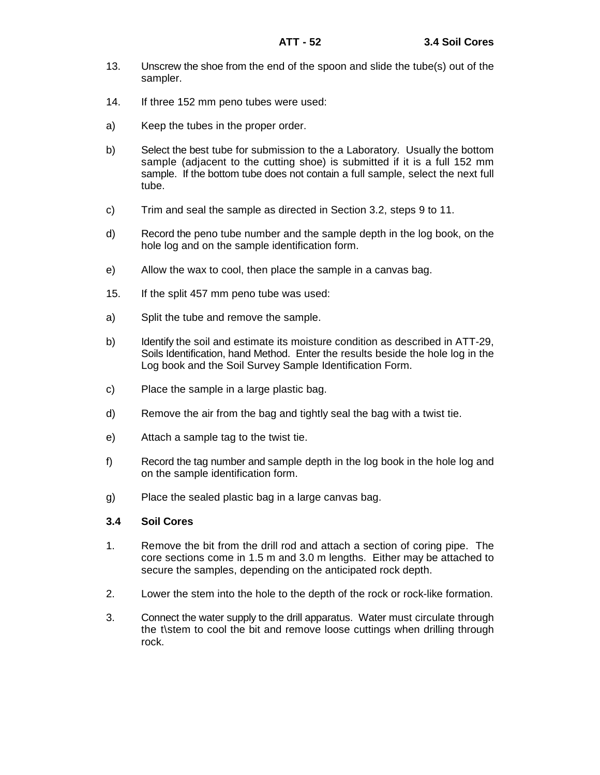- 13. Unscrew the shoe from the end of the spoon and slide the tube(s) out of the sampler.
- 14. If three 152 mm peno tubes were used:
- a) Keep the tubes in the proper order.
- b) Select the best tube for submission to the a Laboratory. Usually the bottom sample (adjacent to the cutting shoe) is submitted if it is a full 152 mm sample. If the bottom tube does not contain a full sample, select the next full tube.
- c) Trim and seal the sample as directed in Section 3.2, steps 9 to 11.
- d) Record the peno tube number and the sample depth in the log book, on the hole log and on the sample identification form.
- e) Allow the wax to cool, then place the sample in a canvas bag.
- 15. If the split 457 mm peno tube was used:
- a) Split the tube and remove the sample.
- b) Identify the soil and estimate its moisture condition as described in ATT-29, Soils Identification, hand Method. Enter the results beside the hole log in the Log book and the Soil Survey Sample Identification Form.
- c) Place the sample in a large plastic bag.
- d) Remove the air from the bag and tightly seal the bag with a twist tie.
- e) Attach a sample tag to the twist tie.
- f) Record the tag number and sample depth in the log book in the hole log and on the sample identification form.
- g) Place the sealed plastic bag in a large canvas bag.

### **3.4 Soil Cores**

- 1. Remove the bit from the drill rod and attach a section of coring pipe. The core sections come in 1.5 m and 3.0 m lengths. Either may be attached to secure the samples, depending on the anticipated rock depth.
- 2. Lower the stem into the hole to the depth of the rock or rock-like formation.
- 3. Connect the water supply to the drill apparatus. Water must circulate through the t\stem to cool the bit and remove loose cuttings when drilling through rock.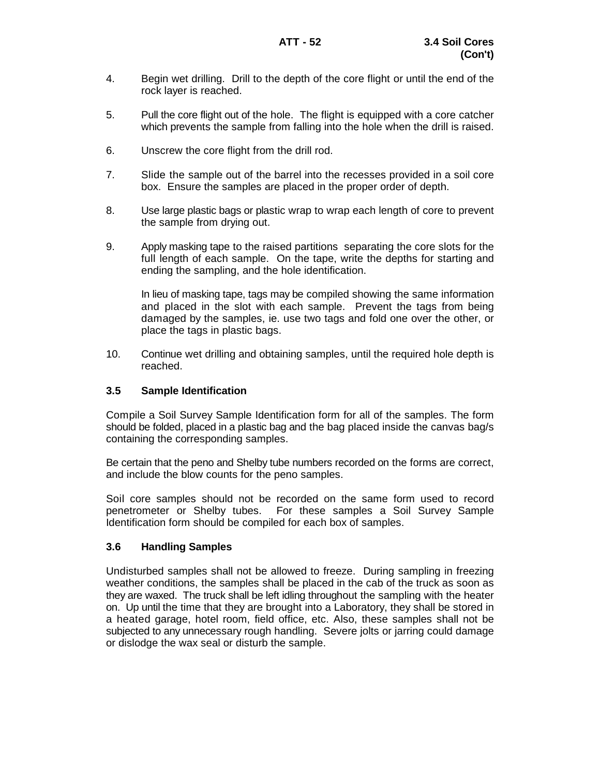- 4. Begin wet drilling. Drill to the depth of the core flight or until the end of the rock layer is reached.
- 5. Pull the core flight out of the hole. The flight is equipped with a core catcher which prevents the sample from falling into the hole when the drill is raised.
- 6. Unscrew the core flight from the drill rod.
- 7. Slide the sample out of the barrel into the recesses provided in a soil core box. Ensure the samples are placed in the proper order of depth.
- 8. Use large plastic bags or plastic wrap to wrap each length of core to prevent the sample from drying out.
- 9. Apply masking tape to the raised partitions separating the core slots for the full length of each sample. On the tape, write the depths for starting and ending the sampling, and the hole identification.

In lieu of masking tape, tags may be compiled showing the same information and placed in the slot with each sample. Prevent the tags from being damaged by the samples, ie. use two tags and fold one over the other, or place the tags in plastic bags.

10. Continue wet drilling and obtaining samples, until the required hole depth is reached.

## **3.5 Sample Identification**

Compile a Soil Survey Sample Identification form for all of the samples. The form should be folded, placed in a plastic bag and the bag placed inside the canvas bag/s containing the corresponding samples.

Be certain that the peno and Shelby tube numbers recorded on the forms are correct, and include the blow counts for the peno samples.

Soil core samples should not be recorded on the same form used to record penetrometer or Shelby tubes. For these samples a Soil Survey Sample Identification form should be compiled for each box of samples.

## **3.6 Handling Samples**

Undisturbed samples shall not be allowed to freeze. During sampling in freezing weather conditions, the samples shall be placed in the cab of the truck as soon as they are waxed. The truck shall be left idling throughout the sampling with the heater on. Up until the time that they are brought into a Laboratory, they shall be stored in a heated garage, hotel room, field office, etc. Also, these samples shall not be subjected to any unnecessary rough handling. Severe jolts or jarring could damage or dislodge the wax seal or disturb the sample.